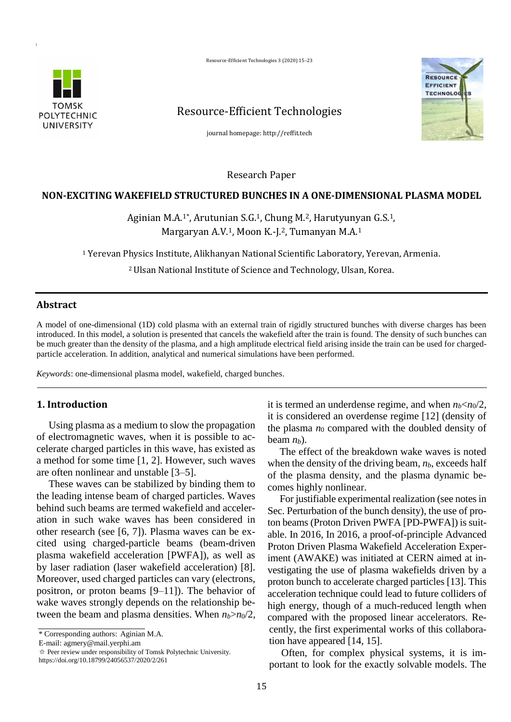Resource-Efficient Technologies 3 (2020) 15–23





# Resource-Efficient Technologies

journal homepage: http://reffit.tech

Research Paper

### **NON-EXCITING WAKEFIELD STRUCTURED BUNCHES IN A ONE-DIMENSIONAL PLASMA MODEL**

# Aginian M.A.<sup>1\*</sup>, Arutunian S.G.<sup>1</sup>, Chung M.<sup>2</sup>, Harutyunyan G.S.<sup>1</sup>, Margaryan A.V.1, Moon K.-J.2, Tumanyan M.A.<sup>1</sup>

<sup>1</sup> Yerevan Physics Institute, Alikhanyan National Scientific Laboratory, Yerevan, Armenia.

<sup>2</sup>Ulsan National Institute of Science and Technology, Ulsan, Korea.

## **Abstract**

A model of one-dimensional (1D) cold plasma with an external train of rigidly structured bunches with diverse charges has been introduced. In this model, a solution is presented that cancels the wakefield after the train is found. The density of such bunches can be much greater than the density of the plasma, and a high amplitude electrical field arising inside the train can be used for chargedparticle acceleration. In addition, analytical and numerical simulations have been performed.

*Keywords*: one-dimensional plasma model, wakefield, charged bunches.

## **1. Introduction**

Using plasma as a medium to slow the propagation of electromagnetic waves, when it is possible to accelerate charged particles in this wave, has existed as a method for some time [1, 2]. However, such waves are often nonlinear and unstable [3–5].

These waves can be stabilized by binding them to the leading intense beam of charged particles. Waves behind such beams are termed wakefield and acceleration in such wake waves has been considered in other research (see [6, 7]). Plasma waves can be excited using charged-particle beams (beam-driven plasma wakefield acceleration [PWFA]), as well as by laser radiation (laser wakefield acceleration) [8]. Moreover, used charged particles can vary (electrons, positron, or proton beams [9–11]). The behavior of wake waves strongly depends on the relationship between the beam and plasma densities. When  $n_b > n_0/2$ ,

\* Corresponding authors: Aginian M.A.

E-mail: agmery@mail.yerphi.am

✩ Peer review under responsibility of Tomsk Polytechnic University. https://doi.org/10.18799/24056537/2020/2/261

it is termed an underdense regime, and when  $n_b < n_0/2$ , it is considered an overdense regime [12] (density of the plasma  $n_0$  compared with the doubled density of beam *nb*).

The effect of the breakdown wake waves is noted when the density of the driving beam, *nb*, exceeds half of the plasma density, and the plasma dynamic becomes highly nonlinear.

For justifiable experimental realization (see notes in Sec. Perturbation of the bunch density), the use of proton beams (Proton Driven PWFA [PD-PWFA]) is suitable. In 2016, In 2016, a proof-of-principle Advanced Proton Driven Plasma Wakefield Acceleration Experiment (AWAKE) was initiated at CERN aimed at investigating the use of plasma wakefields driven by a proton bunch to accelerate charged particles [13]. This acceleration technique could lead to future colliders of high energy, though of a much-reduced length when compared with the proposed linear accelerators. Recently, the first experimental works of this collaboration have appeared [14, 15].

Often, for complex physical systems, it is important to look for the exactly solvable models. The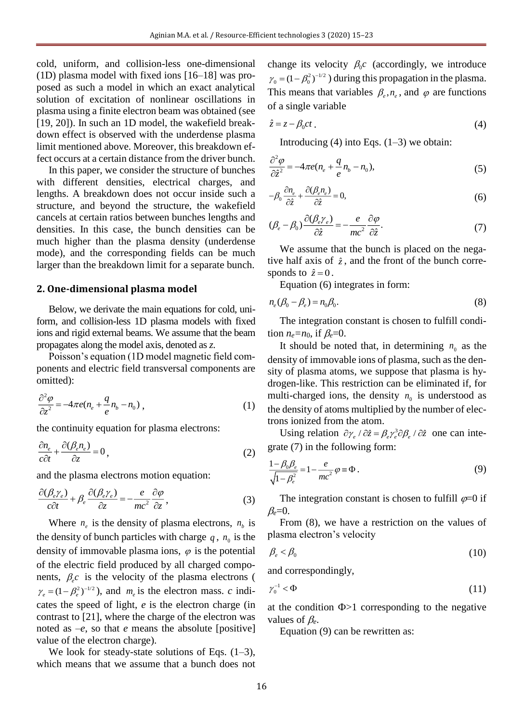cold, uniform, and collision-less one-dimensional (1D) plasma model with fixed ions [16–18] was proposed as such a model in which an exact analytical solution of excitation of nonlinear oscillations in plasma using a finite electron beam was obtained (see [19, 20]). In such an 1D model, the wakefield breakdown effect is observed with the underdense plasma limit mentioned above. Moreover, this breakdown effect occurs at a certain distance from the driver bunch.

In this paper, we consider the structure of bunches with different densities, electrical charges, and lengths. A breakdown does not occur inside such a structure, and beyond the structure, the wakefield cancels at certain ratios between bunches lengths and densities. In this case, the bunch densities can be much higher than the plasma density (underdense mode), and the corresponding fields can be much larger than the breakdown limit for a separate bunch.

#### **2. One-dimensional plasma model**

Below, we derivate the main equations for cold, uniform, and collision-less 1D plasma models with fixed ions and rigid external beams. We assume that the beam propagates along the model axis, denoted as *z*.

Poisson's equation (1D model magnetic field components and electric field transversal components are omitted):

$$
\frac{\partial^2 \varphi}{\partial z^2} = -4\pi e (n_e + \frac{q}{e} n_b - n_0) , \qquad (1)
$$

the continuity equation for plasma electrons:

$$
\frac{\partial n_e}{c\partial t} + \frac{\partial (\beta_e n_e)}{\partial z} = 0,
$$
\n(2)

and the plasma electrons motion equation:

$$
\frac{\partial(\beta_e \gamma_e)}{c\partial t} + \beta_e \frac{\partial(\beta_e \gamma_e)}{\partial z} = -\frac{e}{mc^2} \frac{\partial \varphi}{\partial z},\tag{3}
$$

Where  $n_e$  is the density of plasma electrons,  $n_b$  is the density of bunch particles with charge  $q$ ,  $n_0$  is the density of immovable plasma ions,  $\varphi$  is the potential of the electric field produced by all charged components,  $\beta_e c$  is the velocity of the plasma electrons (  $\gamma_e = (1 - \beta_e^2)^{-1/2}$ , and  $m_e$  is the electron mass. *c* indicates the speed of light, *e* is the electron charge (in contrast to [21], where the charge of the electron was noted as  $-e$ , so that *e* means the absolute [positive] value of the electron charge).

We look for steady-state solutions of Eqs.  $(1-3)$ , which means that we assume that a bunch does not

change its velocity  $\beta_0 c$  (accordingly, we introduce  $\gamma_0 = (1 - \beta_0^2)^{-1/2}$ ) during this propagation in the plasma. This means that variables  $\beta_e$ ,  $n_e$ , and  $\varphi$  are functions of a single variable

$$
\hat{z} = z - \beta_0 c t \tag{4}
$$

Introducing  $(4)$  into Eqs.  $(1-3)$  we obtain:

$$
\frac{\partial^2 \varphi}{\partial \hat{z}^2} = -4\pi e(n_e + \frac{q}{e}n_b - n_0),\tag{5}
$$

$$
-\beta_0 \frac{\partial n_e}{\partial \hat{z}} + \frac{\partial (\beta_e n_e)}{\partial \hat{z}} = 0,
$$
\n(6)

$$
(\beta_e - \beta_0) \frac{\partial (\beta_e \gamma_e)}{\partial \hat{z}} = -\frac{e}{mc^2} \frac{\partial \varphi}{\partial \hat{z}}.
$$
 (7)

We assume that the bunch is placed on the negative half axis of  $\hat{z}$ , and the front of the bunch corresponds to  $\hat{z} = 0$ .

Equation (6) integrates in form:

$$
n_e(\beta_0 - \beta_e) = n_0 \beta_0. \tag{8}
$$

The integration constant is chosen to fulfill condition  $n_e = n_0$ , if  $\beta_e = 0$ .

It should be noted that, in determining  $n_0$  as the density of immovable ions of plasma, such as the density of plasma atoms, we suppose that plasma is hydrogen-like. This restriction can be eliminated if, for multi-charged ions, the density  $n_0$  is understood as the density of atoms multiplied by the number of electrons ionized from the atom.

Using relation  $\partial \gamma_e / \partial \hat{z} = \beta_e \gamma_e^3 \partial \beta_e / \partial \hat{z}$  one can integrate (7) in the following form:

$$
\frac{1-\beta_0\beta_e}{\sqrt{1-\beta_e^2}} = 1 - \frac{e}{mc^2} \varphi \equiv \Phi.
$$
 (9)

The integration constant is chosen to fulfill  $\varphi=0$  if  $\beta_e=0$ .

From (8), we have a restriction on the values of plasma electron's velocity

$$
\beta_e < \beta_0 \tag{10}
$$

and correspondingly,

$$
\gamma_0^{-1} < \Phi \tag{11}
$$

at the condition  $\Phi > 1$  corresponding to the negative values of  $\beta_e$ .

Equation (9) can be rewritten as: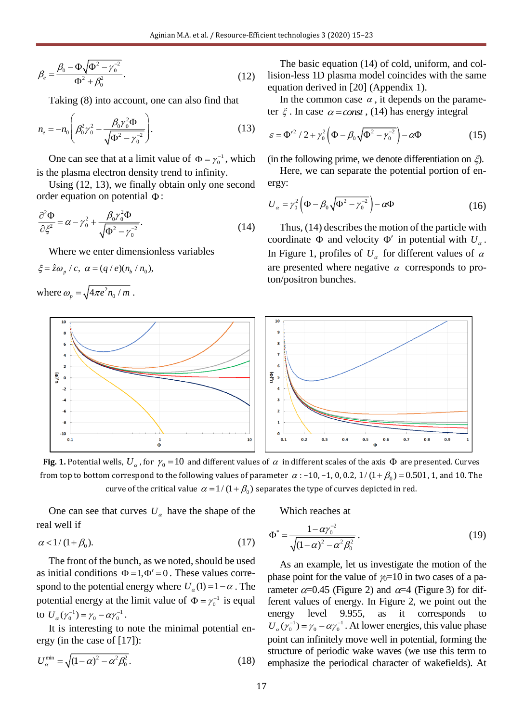$$
\beta_e = \frac{\beta_0 - \Phi \sqrt{\Phi^2 - \gamma_0^{-2}}}{\Phi^2 + \beta_0^2}.
$$
\n(12)

Taking (8) into account, one can also find that

$$
n_e = -n_0 \left( \beta_0^2 \gamma_0^2 - \frac{\beta_0 \gamma_0^2 \Phi}{\sqrt{\Phi^2 - {\gamma_0}^2}} \right).
$$
 (13)

One can see that at a limit value of  $\Phi = \gamma_0^{-1}$ , which is the plasma electron density trend to infinity.

Using (12, 13), we finally obtain only one second order equation on potential  $\Phi$ :

$$
\frac{\partial^2 \Phi}{\partial \xi^2} = \alpha - \gamma_0^2 + \frac{\beta_0 \gamma_0^2 \Phi}{\sqrt{\Phi^2 - \gamma_0^2}}.
$$
\n(14)

Where we enter dimensionless variables

$$
\xi = \hat{z}\omega_p / c, \ \alpha = (q / e)(n_b / n_0),
$$
  
where  $\omega_p = \sqrt{4\pi e^2 n_0 / m}$ .

The basic equation (14) of cold, uniform, and collision-less 1D plasma model coincides with the same equation derived in [20] (Appendix 1).

In the common case  $\alpha$ , it depends on the parameter  $\xi$ . In case  $\alpha = const$ , (14) has energy integral

$$
\varepsilon = \Phi^{\prime 2} / 2 + \gamma_0^2 \left( \Phi - \beta_0 \sqrt{\Phi^2 - \gamma_0^{-2}} \right) - \alpha \Phi \tag{15}
$$

(in the following prime, we denote differentiation on  $\xi$ ).

Here, we can separate the potential portion of energy:

$$
U_{\alpha} = \gamma_0^2 \left( \Phi - \beta_0 \sqrt{\Phi^2 - \gamma_0^{-2}} \right) - \alpha \Phi \tag{16}
$$

Thus, (14) describes the motion of the particle with coordinate  $\Phi$  and velocity  $\Phi'$  in potential with  $U_{\alpha}$ . In Figure 1, profiles of  $U_\alpha$  for different values of  $\alpha$ are presented where negative  $\alpha$  corresponds to proton/positron bunches.



**Fig. 1.** Potential wells,  $U_a$ , for  $\gamma_0$  = 10 and different values of  $\alpha$  in different scales of the axis  $\Phi$  are presented. Curves from top to bottom correspond to the following values of parameter  $\alpha$  : –10, –1, 0, 0.2,  $1/(1+\beta_0)$  = 0.501 , 1, and 10. The curve of the critical value  $\,\alpha$  = 1 / (1 +  $\beta_{\rm 0})$  separates the type of curves depicted in red.

One can see that curves  $U_a$  have the shape of the real well if

$$
\alpha < 1/(1+\beta_0). \tag{17}
$$

The front of the bunch, as we noted, should be used as initial conditions  $\Phi = 1, \Phi' = 0$ . These values correspond to the potential energy where  $U_{\alpha}(1) = 1 - \alpha$ . The potential energy at the limit value of  $\Phi = \gamma_0^{-1}$  is equal to  $U_{\alpha}(\gamma_0^{-1}) = \gamma_0 - \alpha \gamma_0^{-1}$ .

It is interesting to note the minimal potential energy (in the case of [17]):

$$
U_{\alpha}^{\min} = \sqrt{\left(1 - \alpha\right)^2 - \alpha^2 \beta_0^2}.
$$
 (18)

Which reaches at

$$
\Phi^* = \frac{1 - \alpha \gamma_0^{-2}}{\sqrt{(1 - \alpha)^2 - \alpha^2 \beta_0^2}}.
$$
 (19)

As an example, let us investigate the motion of the phase point for the value of  $\gamma_0=10$  in two cases of a parameter  $\alpha$ =0.45 (Figure 2) and  $\alpha$ =4 (Figure 3) for different values of energy. In Figure 2, we point out the energy level 9.955, as it corresponds  $U_{\alpha}(\gamma_0^{-1}) = \gamma_0 - \alpha \gamma_0^{-1}$ . At lower energies, this value phase point can infinitely move well in potential, forming the structure of periodic wake waves (we use this term to emphasize the periodical character of wakefields). At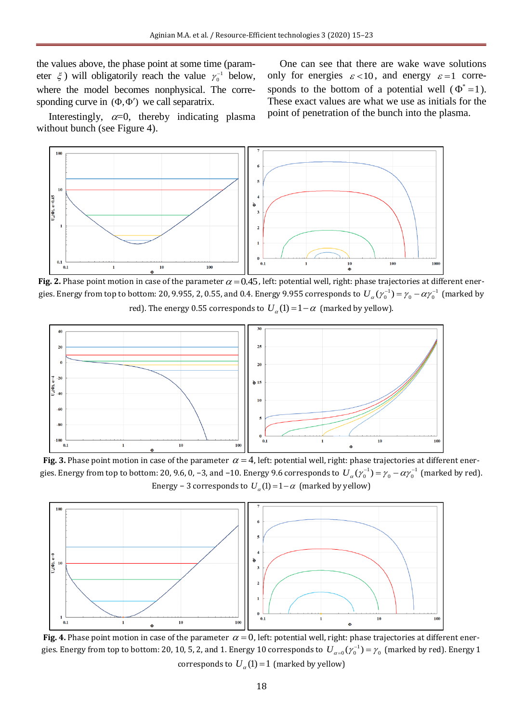the values above, the phase point at some time (parameter  $\xi$ ) will obligatorily reach the value  $\gamma_0^{-1}$  below, where the model becomes nonphysical. The corresponding curve in  $(\Phi, \Phi')$  we call separatrix.

One can see that there are wake wave solutions only for energies  $\varepsilon < 10$ , and energy  $\varepsilon = 1$  corresponds to the bottom of a potential well ( $\Phi^* = 1$ ). These exact values are what we use as initials for the point of penetration of the bunch into the plasma.

Interestingly,  $\alpha=0$ , thereby indicating plasma without bunch (see Figure 4).



**Fig. 2.** Phase point motion in case of the parameter  $\alpha$  = 0.45 , left: potential well, right: phase trajectories at different energies. Energy from top to bottom: 20, 9.955, 2, 0.55, and 0.4. Energy 9.955 corresponds to  $\ U_\alpha(\gamma_0^{-1})=\gamma_0-\alpha\gamma_0^{-1}$  (marked by red). The energy 0.55 corresponds to  $\left(U_{\alpha}(1)=1-\alpha\right)$  (marked by yellow).



**Fig. 3.** Phase point motion in case of the parameter  $\alpha = 4$ , left: potential well, right: phase trajectories at different energies. Energy from top to bottom: 20, 9.6, 0, –3, and –10. Energy 9.6 corresponds to  $\, U_\alpha(\gamma_0^{-1})=\gamma_0-\alpha\gamma_0^{-1} \,$  (marked by red). Energy – 3 corresponds to  $U_{\alpha}(1) = 1 - \alpha$  (marked by yellow)



**Fig. 4.** Phase point motion in case of the parameter  $\alpha = 0$ , left: potential well, right: phase trajectories at different energies. Energy from top to bottom: 20, 10, 5, 2, and 1. Energy 10 corresponds to  $\,U_{\alpha=0}(\gamma_0^{-1})=\gamma_0\,$  (marked by red). Energy 1 corresponds to  $U_a(1)=1$  (marked by yellow)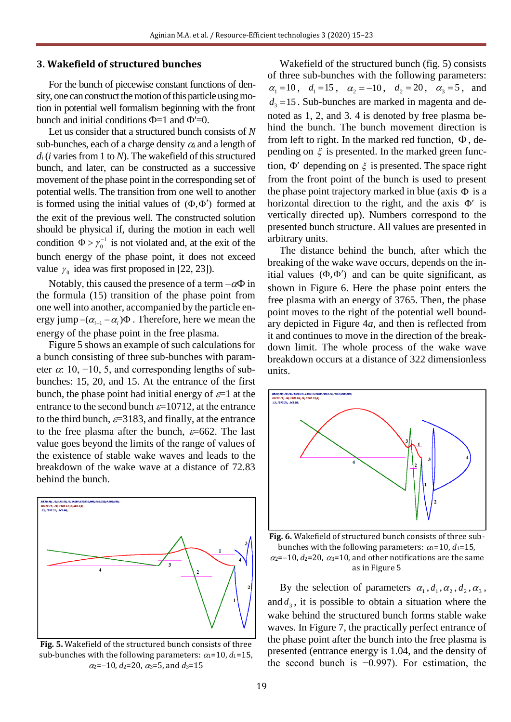### **3. Wakefield of structured bunches**

For the bunch of piecewise constant functions of density, one can construct the motion of this particle using motion in potential well formalism beginning with the front bunch and initial conditions  $\Phi$ =1 and  $\Phi$ '=0.

Let us consider that a structured bunch consists of *N* sub-bunches, each of a charge density  $\alpha_i$  and a length of  $d_i$  (*i* varies from 1 to *N*). The wakefield of this structured bunch, and later, can be constructed as a successive movement of the phase point in the corresponding set of potential wells. The transition from one well to another is formed using the initial values of  $(\Phi, \Phi')$  formed at the exit of the previous well. The constructed solution should be physical if, during the motion in each well condition  $\Phi > \gamma_0^{-1}$  $\Phi > \gamma_0^{-1}$  is not violated and, at the exit of the bunch energy of the phase point, it does not exceed value  $\gamma_0$  idea was first proposed in [22, 23]).

Notably, this caused the presence of a term  $-\alpha\Phi$  in the formula (15) transition of the phase point from one well into another, accompanied by the particle energy jump  $-(\alpha_{i+1} - \alpha_i)\Phi$ . Therefore, here we mean the energy of the phase point in the free plasma.

Figure 5 shows an example of such calculations for a bunch consisting of three sub-bunches with parameter  $\alpha$ : 10, −10, 5, and corresponding lengths of subbunches: 15, 20, and 15. At the entrance of the first bunch, the phase point had initial energy of  $\varepsilon=1$  at the entrance to the second bunch  $\varepsilon$ =10712, at the entrance to the third bunch,  $\varepsilon$ =3183, and finally, at the entrance to the free plasma after the bunch,  $\varepsilon$ =662. The last value goes beyond the limits of the range of values of the existence of stable wake waves and leads to the breakdown of the wake wave at a distance of 72.83 behind the bunch.



**Fig. 5.** Wakefield of the structured bunch consists of three sub-bunches with the following parameters:  $\alpha_1=10$ ,  $d_1=15$ ,  $\alpha_2$ =–10,  $d_2$ =20,  $\alpha_3$ =5, and  $d_3$ =15

Wakefield of the structured bunch (fig. 5) consists of three sub-bunches with the following parameters:  $\alpha_1 = 10$ ,  $d_1 = 15$ ,  $\alpha_2 = -10$ ,  $d_2 = 20$ ,  $\alpha_3 = 5$ , and  $d_3 = 15$ . Sub-bunches are marked in magenta and denoted as 1, 2, and 3. 4 is denoted by free plasma behind the bunch. The bunch movement direction is from left to right. In the marked red function,  $\Phi$ , depending on  $\xi$  is presented. In the marked green function,  $\Phi'$  depending on  $\xi$  is presented. The space right from the front point of the bunch is used to present the phase point trajectory marked in blue (axis  $\Phi$  is a horizontal direction to the right, and the axis  $\Phi'$  is vertically directed up). Numbers correspond to the presented bunch structure. All values are presented in arbitrary units.

The distance behind the bunch, after which the breaking of the wake wave occurs, depends on the initial values  $(\Phi, \Phi')$  and can be quite significant, as shown in Figure 6. Here the phase point enters the free plasma with an energy of 3765. Then, the phase point moves to the right of the potential well boundary depicted in Figure 4*a*, and then is reflected from it and continues to move in the direction of the breakdown limit. The whole process of the wake wave breakdown occurs at a distance of 322 dimensionless units.



**Fig. 6.** Wakefield of structured bunch consists of three subbunches with the following parameters:  $\alpha_1=10$ ,  $d_1=15$ ,  $\alpha$ <sub>2</sub>=–10,  $d$ <sub>2</sub>=20,  $\alpha$ <sub>3</sub>=10, and other notifications are the same as in Figure 5

By the selection of parameters  $\alpha_1, d_1, \alpha_2, d_2, \alpha_3$ , and  $d_3$ , it is possible to obtain a situation where the wake behind the structured bunch forms stable wake waves. In Figure 7, the practically perfect entrance of the phase point after the bunch into the free plasma is presented (entrance energy is 1.04, and the density of the second bunch is −0.997). For estimation, the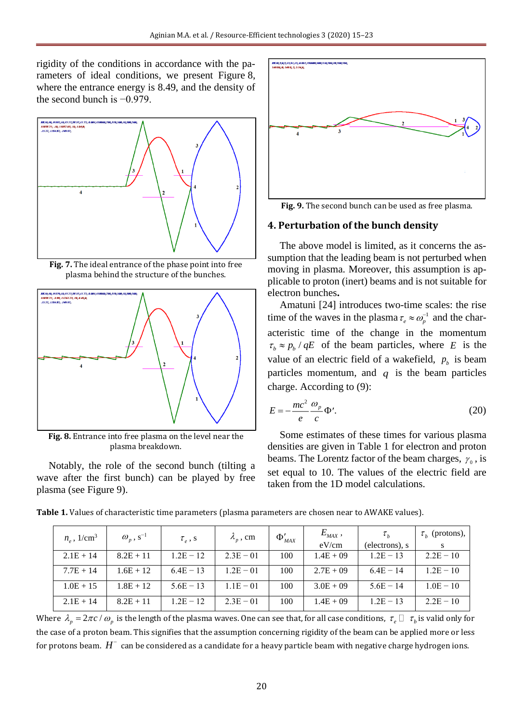rigidity of the conditions in accordance with the parameters of ideal conditions, we present Figure 8, where the entrance energy is 8.49, and the density of the second bunch is −0.979.



**Fig. 7.** The ideal entrance of the phase point into free plasma behind the structure of the bunches.



**Fig. 8.** Entrance into free plasma on the level near the plasma breakdown.

Notably, the role of the second bunch (tilting a wave after the first bunch) can be played by free plasma (see Figure 9).



**Fig. 9.** The second bunch can be used as free plasma.

### **4. Perturbation of the bunch density**

The above model is limited, as it concerns the assumption that the leading beam is not perturbed when moving in plasma. Moreover, this assumption is applicable to proton (inert) beams and is not suitable for electron bunches**.**

Amatuni [24] introduces two-time scales: the rise time of the waves in the plasma  $\tau_e \approx \omega_p^{-1}$  and the characteristic time of the change in the momentum  $\tau_b \approx p_b / qE$  of the beam particles, where *E* is the value of an electric field of a wakefield,  $p_b$  is beam particles momentum, and  $q$  is the beam particles charge. According to (9):

$$
E = -\frac{mc^2}{e} \frac{\omega_p}{c} \Phi'. \tag{20}
$$

Some estimates of these times for various plasma densities are given in Table 1 for electron and proton beams. The Lorentz factor of the beam charges,  $\gamma_0$ , is set equal to 10. The values of the electric field are taken from the 1D model calculations.

**Table 1.** Values of characteristic time parameters (plasma parameters are chosen near to AWAKE values).

| $n_{\circ}$ , 1/cm <sup>3</sup> | $\omega_p$ , s <sup>-1</sup> | $\tau_{a}$ , s | $\lambda_{n}$ , cm | $\Phi'_{MAX}$ | $E_{MAX}$ ,  | $\tau_{\scriptscriptstyle h}$ | $\tau_h$ (protons), |
|---------------------------------|------------------------------|----------------|--------------------|---------------|--------------|-------------------------------|---------------------|
|                                 |                              |                |                    |               | eV/cm        | (electrons), s                |                     |
| $2.1E + 14$                     | $8.2E + 11$                  | $1.2E - 12$    | $2.3E - 01$        | 100           | $1.4E + 09$  | $1.2E - 13$                   | $2.2E - 10$         |
| $7.7E + 14$                     | $1.6E + 12$                  | $6.4E - 13$    | $1.2E - 01$        | 100           | $2.7E + 0.9$ | $6.4E - 14$                   | $1.2E - 10$         |
| $1.0E + 15$                     | $1.8E + 12$                  | $5.6E - 13$    | $1.1E - 01$        | 100           | $3.0E + 09$  | $5.6E - 14$                   | $1.0E - 10$         |
| $2.1E + 14$                     | $8.2E + 11$                  | $1.2E - 12$    | $2.3E - 01$        | 100           | $1.4E + 09$  | $1.2E - 13$                   | $2.2E - 10$         |

Where  $\lambda_p = 2\pi c/\omega_p$  is the length of the plasma waves. One can see that, for all case conditions,  $\tau_e\,\square\,\,\tau_b$  is valid only for the case of a proton beam. This signifies that the assumption concerning rigidity of the beam can be applied more or less for protons beam.  $H^-$  can be considered as a candidate for a heavy particle beam with negative charge hydrogen ions.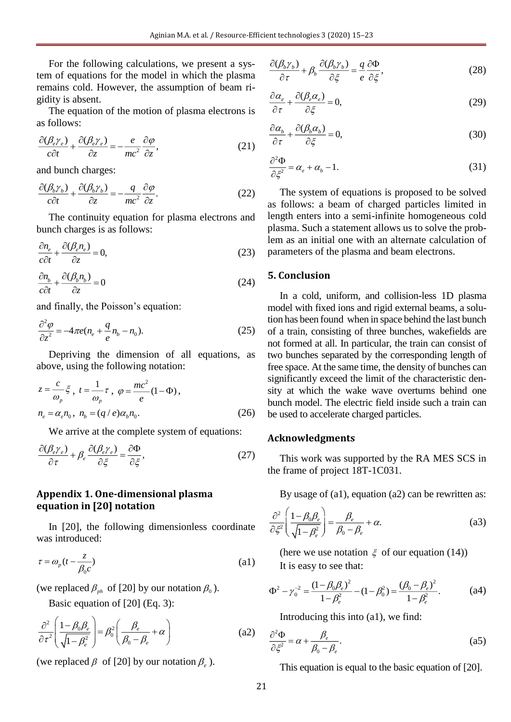Aginian M.A. et al. / Resource-Efficient technologies 3 (2020) 15–23

For the following calculations, we present a system of equations for the model in which the plasma remains cold. However, the assumption of beam rigidity is absent.

The equation of the motion of plasma electrons is as follows:

$$
\frac{\partial(\beta_e \gamma_e)}{c\partial t} + \frac{\partial(\beta_e \gamma_e)}{\partial z} = -\frac{e}{mc^2} \frac{\partial \varphi}{\partial z},\tag{21}
$$

and bunch charges:

$$
\frac{\partial(\beta_b \gamma_b)}{c\partial t} + \frac{\partial(\beta_b \gamma_b)}{\partial z} = -\frac{q}{mc^2} \frac{\partial \varphi}{\partial z}.
$$
 (22)

The continuity equation for plasma electrons and bunch charges is as follows:

$$
\frac{\partial n_e}{c\partial t} + \frac{\partial (\beta_e n_e)}{\partial z} = 0,\tag{23}
$$

$$
\frac{\partial n_b}{c\partial t} + \frac{\partial (\beta_b n_b)}{\partial z} = 0
$$
\n(24)

and finally, the Poisson's equation:

$$
\frac{\partial^2 \varphi}{\partial z^2} = -4\pi e (n_e + \frac{q}{e} n_b - n_0). \tag{25}
$$

Depriving the dimension of all equations, as above, using the following notation:

$$
z = \frac{c}{\omega_p} \xi, \ t = \frac{1}{\omega_p} \tau, \ \varphi = \frac{mc^2}{e} (1 - \Phi),
$$
  

$$
n_e = \alpha_e n_0, \ n_b = (q/e)\alpha_b n_0.
$$
 (26)

We arrive at the complete system of equations:

$$
\frac{\partial(\beta_e \gamma_e)}{\partial \tau} + \beta_e \frac{\partial(\beta_e \gamma_e)}{\partial \xi} = \frac{\partial \Phi}{\partial \xi},\tag{27}
$$

### **Appendix 1. One-dimensional plasma equation in [20] notation**

In [20], the following dimensionless coordinate was introduced:

$$
\tau = \omega_p \left( t - \frac{z}{\beta_0 c} \right) \tag{a1}
$$

(we replaced  $\beta_{ph}$  of [20] by our notation  $\beta_0$ ).

Basic equation of [20] (Eq. 3):

$$
\frac{\partial^2}{\partial \tau^2} \left( \frac{1 - \beta_0 \beta_e}{\sqrt{1 - \beta_e^2}} \right) = \beta_0^2 \left( \frac{\beta_e}{\beta_0 - \beta_e} + \alpha \right)
$$
 (a2)

(we replaced  $\beta$  of [20] by our notation  $\beta_e$ ).

$$
\frac{\partial(\beta_b \gamma_b)}{\partial \tau} + \beta_b \frac{\partial(\beta_b \gamma_b)}{\partial \xi} = \frac{q}{e} \frac{\partial \Phi}{\partial \xi},\tag{28}
$$

$$
\frac{\partial \alpha_e}{\partial \tau} + \frac{\partial (\beta_e \alpha_e)}{\partial \xi} = 0, \tag{29}
$$

$$
\frac{\partial \alpha_b}{\partial \tau} + \frac{\partial (\beta_b \alpha_b)}{\partial \xi} = 0, \tag{30}
$$

$$
\frac{\partial^2 \Phi}{\partial \xi^2} = \alpha_e + \alpha_b - 1. \tag{31}
$$

The system of equations is proposed to be solved as follows: a beam of charged particles limited in length enters into a semi-infinite homogeneous cold plasma. Such a statement allows us to solve the problem as an initial one with an alternate calculation of parameters of the plasma and beam electrons.

### **5. Conclusion**

In a cold, uniform, and collision-less 1D plasma model with fixed ions and rigid external beams, a solution has been found when in space behind the last bunch of a train, consisting of three bunches, wakefields are not formed at all. In particular, the train can consist of two bunches separated by the corresponding length of free space. At the same time, the density of bunches can significantly exceed the limit of the characteristic density at which the wake wave overturns behind one bunch model. The electric field inside such a train can be used to accelerate charged particles.

### **Acknowledgments**

This work was supported by the RA MES SCS in the frame of project 18T-1C031.

By usage of (a1), equation (a2) can be rewritten as:

$$
\frac{\partial^2}{\partial \xi^2} \left( \frac{1 - \beta_0 \beta_e}{\sqrt{1 - \beta_e^2}} \right) = \frac{\beta_e}{\beta_0 - \beta_e} + \alpha.
$$
 (a3)

(here we use notation  $\xi$  of our equation (14)) It is easy to see that:

It is easy to see that:  
\n
$$
\Phi^2 - \gamma_0^{-2} = \frac{(1 - \beta_0 \beta_e)^2}{1 - \beta_e^2} - (1 - \beta_0^2) = \frac{(\beta_0 - \beta_e)^2}{1 - \beta_e^2}.
$$
\n(a4)

Introducing this into (a1), we find:

$$
\frac{\partial^2 \Phi}{\partial \xi^2} = \alpha + \frac{\beta_e}{\beta_0 - \beta_e}.
$$
 (a5)

This equation is equal to the basic equation of [20].